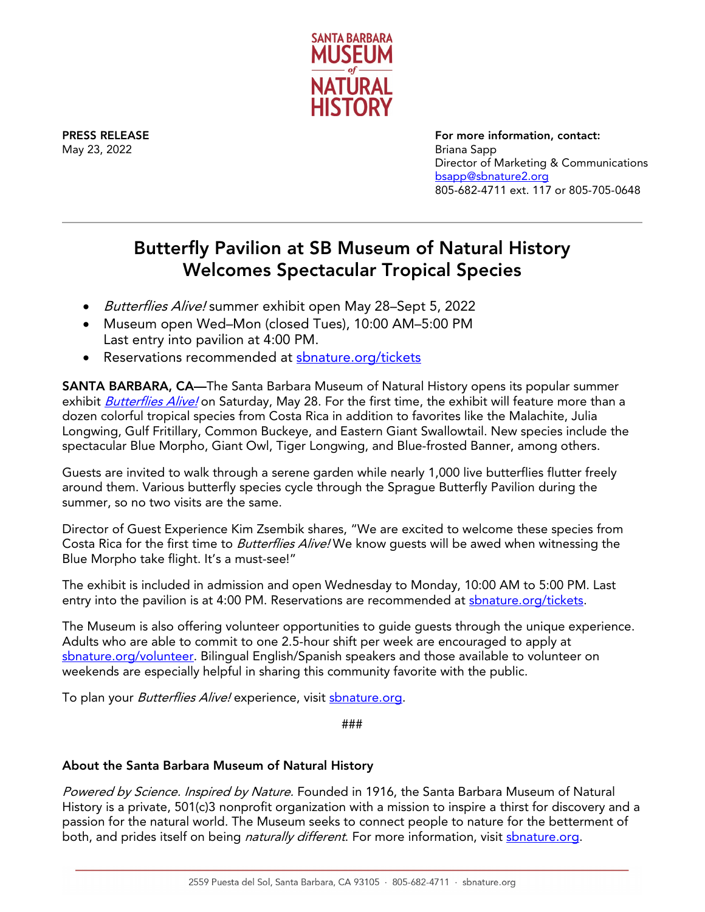

May 23, 2022 Briana Sapp

PRESS RELEASE FOR THE SERVICE SERVICE SERVICE SERVICE SERVICE SERVICE SERVICE SERVICE SERVICE SERVICE SERVICE S Director of Marketing & Communications [bsapp@sbnature2.org](mailto:bsapp@sbnature2.org) 805-682-4711 ext. 117 or 805-705-0648

## Butterfly Pavilion at SB Museum of Natural History Welcomes Spectacular Tropical Species

- Butterflies Alive! summer exhibit open May 28–Sept 5, 2022
- Museum open Wed–Mon (closed Tues), 10:00 AM–5:00 PM Last entry into pavilion at 4:00 PM.
- Reservations recommended at shnature.org/tickets

SANTA BARBARA, CA—The Santa Barbara Museum of Natural History opens its popular summer exhibit **[Butterflies Alive!](https://www.sbnature.org/visit/exhibitions/75/butterflies-alive-2)** on Saturday, May 28. For the first time, the exhibit will feature more than a dozen colorful tropical species from Costa Rica in addition to favorites like the Malachite, Julia Longwing, Gulf Fritillary, Common Buckeye, and Eastern Giant Swallowtail. New species include the spectacular Blue Morpho, Giant Owl, Tiger Longwing, and Blue-frosted Banner, among others.

Guests are invited to walk through a serene garden while nearly 1,000 live butterflies flutter freely around them. Various butterfly species cycle through the Sprague Butterfly Pavilion during the summer, so no two visits are the same.

Director of Guest Experience Kim Zsembik shares, "We are excited to welcome these species from Costa Rica for the first time to *Butterflies Alive!* We know guests will be awed when witnessing the Blue Morpho take flight. It's a must-see!"

The exhibit is included in admission and open Wednesday to Monday, 10:00 AM to 5:00 PM. Last entry into the pavilion is at 4:00 PM. Reservations are recommended at shature.org/tickets.

The Museum is also offering volunteer opportunities to guide guests through the unique experience. Adults who are able to commit to one 2.5-hour shift per week are encouraged to apply at [sbnature.org/volunteer.](https://www.sbnature.org/volunteer/adult/) Bilingual English/Spanish speakers and those available to volunteer on weekends are especially helpful in sharing this community favorite with the public.

To plan your *Butterflies Alive!* experience, visit [sbnature.org.](https://www.sbnature.org/)

###

## About the Santa Barbara Museum of Natural History

Powered by Science. Inspired by Nature. Founded in 1916, the Santa Barbara Museum of Natural History is a private, 501(c)3 nonprofit organization with a mission to inspire a thirst for discovery and a passion for the natural world. The Museum seeks to connect people to nature for the betterment of both, and prides itself on being *naturally different*. For more information, visit shature.org.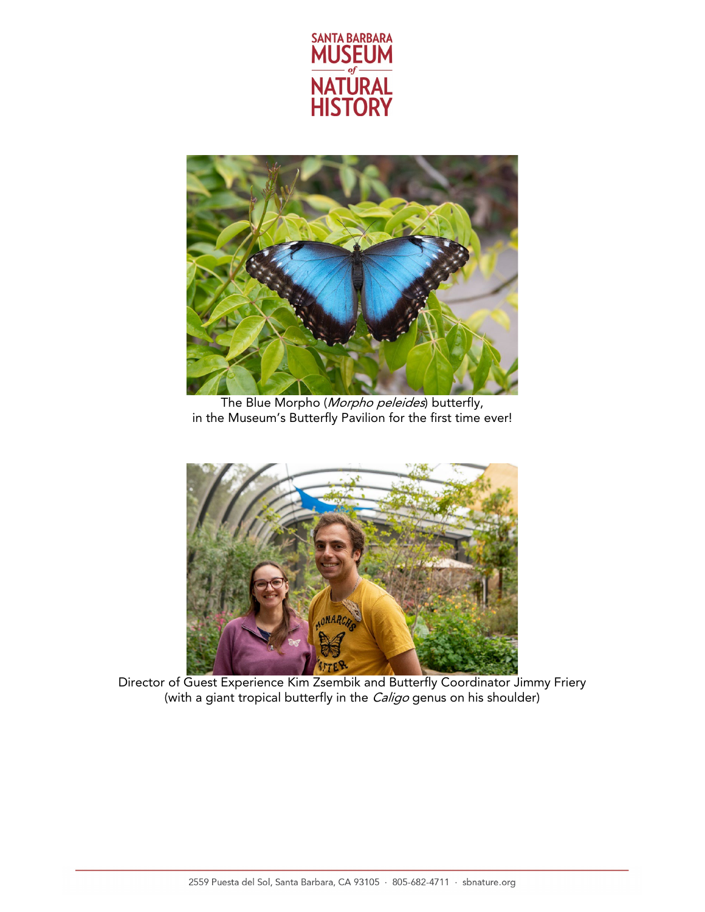



The Blue Morpho (*Morpho peleides*) butterfly, in the Museum's Butterfly Pavilion for the first time ever!



Director of Guest Experience Kim Zsembik and Butterfly Coordinator Jimmy Friery (with a giant tropical butterfly in the *Caligo* genus on his shoulder)